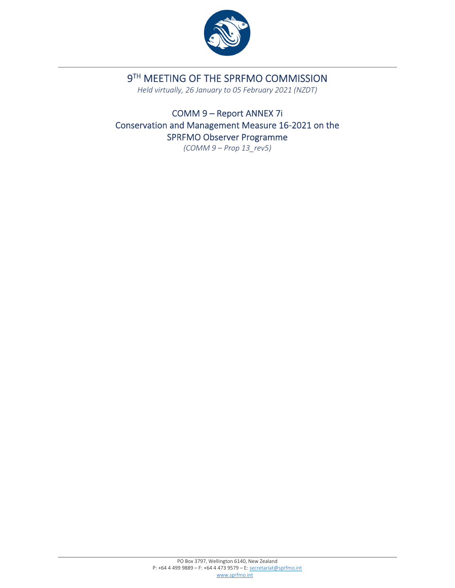

# 9TH MEETING OF THE SPRFMO COMMISSION

*Held virtually, 26 January to 05 February 2021 (NZDT)*

COMM 9 – Report ANNEX 7i Conservation and Management Measure 16‐2021 on the SPRFMO Observer Programme

*(COMM 9 – Prop 13\_rev5)*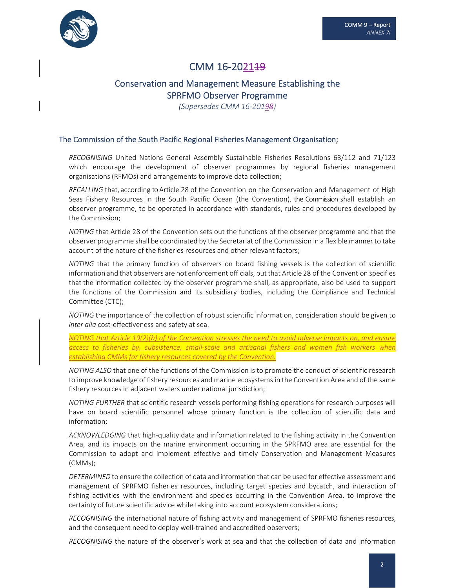

## CMM 16-202149

## Conservation and Management Measure Establishing the SPRFMO Observer Programme

*(Supersedes CMM 16‐20198)*

### The Commission of the South Pacific Regional Fisheries Management Organisation;

*RECOGNISING* United Nations General Assembly Sustainable Fisheries Resolutions 63/112 and 71/123 which encourage the development of observer programmes by regional fisheries management organisations (RFMOs) and arrangements to improve data collection;

*RECALLING* that, according to Article 28 of the Convention on the Conservation and Management of High Seas Fishery Resources in the South Pacific Ocean (the Convention), the Commission shall establish an observer programme, to be operated in accordance with standards, rules and procedures developed by the Commission;

*NOTING* that Article 28 of the Convention sets out the functions of the observer programme and that the observer programme shall be coordinated by the Secretariat of the Commission in a flexible manner to take account of the nature of the fisheries resources and other relevant factors;

*NOTING* that the primary function of observers on board fishing vessels is the collection of scientific information and that observers are not enforcement officials, but that Article 28 of the Convention specifies that the information collected by the observer programme shall, as appropriate, also be used to support the functions of the Commission and its subsidiary bodies, including the Compliance and Technical Committee (CTC);

*NOTING* the importance of the collection of robust scientific information, consideration should be given to *inter alia* cost‐effectiveness and safety at sea.

*NOTING that Article 19(2)(b) of the Convention stresses the need to avoid adverse impacts on, and ensure access to fisheries by, subsistence, small‐scale and artisanal fishers and women fish workers when establishing CMMs for fishery resources covered by the Convention.*

*NOTING ALSO* that one of the functions of the Commission is to promote the conduct of scientific research to improve knowledge of fishery resources and marine ecosystems in the Convention Area and of the same fishery resources in adjacent waters under national jurisdiction;

*NOTING FURTHER* that scientific research vessels performing fishing operations for research purposes will have on board scientific personnel whose primary function is the collection of scientific data and information;

*ACKNOWLEDGING* that high‐quality data and information related to the fishing activity in the Convention Area, and its impacts on the marine environment occurring in the SPRFMO area are essential for the Commission to adopt and implement effective and timely Conservation and Management Measures (CMMs);

*DETERMINED* to ensure the collection of data and information that can be used for effective assessment and management of SPRFMO fisheries resources, including target species and bycatch, and interaction of fishing activities with the environment and species occurring in the Convention Area, to improve the certainty of future scientific advice while taking into account ecosystem considerations;

*RECOGNISING* the international nature of fishing activity and management of SPRFMO fisheries resources, and the consequent need to deploy well-trained and accredited observers;

*RECOGNISING* the nature of the observer's work at sea and that the collection of data and information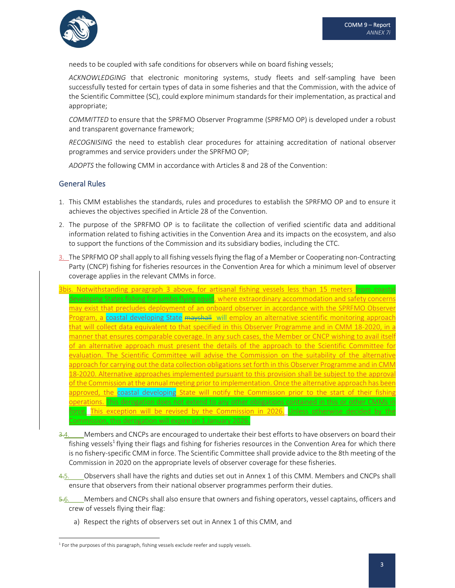

needs to be coupled with safe conditions for observers while on board fishing vessels;

*ACKNOWLEDGING* that electronic monitoring systems, study fleets and self‐sampling have been successfully tested for certain types of data in some fisheries and that the Commission, with the advice of the Scientific Committee (SC), could explore minimum standards for their implementation, as practical and appropriate;

*COMMITTED* to ensure that the SPRFMO Observer Programme (SPRFMO OP) is developed under a robust and transparent governance framework;

*RECOGNISING* the need to establish clear procedures for attaining accreditation of national observer programmes and service providers under the SPRFMO OP;

*ADOPTS* the following CMM in accordance with Articles 8 and 28 of the Convention:

## General Rules

- 1. This CMM establishes the standards, rules and procedures to establish the SPRFMO OP and to ensure it achieves the objectives specified in Article 28 of the Convention.
- 2. The purpose of the SPRFMO OP is to facilitate the collection of verified scientific data and additional information related to fishing activities in the Convention Area and its impacts on the ecosystem, and also to support the functions of the Commission and its subsidiary bodies, including the CTC.
- 3. The SPRFMO OP shall apply to all fishing vessels flying the flag of a Member or Cooperating non-Contracting Party (CNCP) fishing for fisheries resources in the Convention Area for which a minimum level of observer coverage applies in the relevant CMMs in force.
- 3bis. Notwithstanding paragraph 3 above, for artisanal fishing vessels less than 15 meters from coastal developing States fishing for jumbo flying squid, where extraordinary accommodation and safety concerns may exist that precludes deployment of an onboard observer in accordance with the SPRFMO Observer <u>Program, a coastal developing State <del>mayshall</del>\_will employ an alternative scientific monitoring approach</u> that will collect data equivalent to that specified in this Observer Programme and in CMM 18‐2020, in a manner that ensures comparable coverage. In any such cases, the Member or CNCP wishing to avail itself of an alternative approach must present the details of the approach to the Scientific Committee for evaluation. The Scientific Committee will advise the Commission on the suitability of the alternative approach for carrying out the data collection obligationsset forth in this Observer Programme and in CMM 18‐2020. Alternative approaches implemented pursuant to this provision shall be subject to the approval of the Commission at the annual meeting prior to implementation. Once the alternative approach has been approved, the coastal developing State will notify the Commission prior to the start of their fishing operations. This derogation does not extend to any other obligations contained in this or other CMMs in f<mark>orce. This exception will be revised by the Commission in 2026.</mark> Unless otherwise decided by the Commission, this derogation will expire on 1 January 2026.
- 3.4. Members and CNCPs are encouraged to undertake their best efforts to have observers on board their fishing vessels<sup>1</sup> flying their flags and fishing for fisheries resources in the Convention Area for which there is no fishery‐specific CMM in force. The Scientific Committee shall provide advice to the 8th meeting of the Commission in 2020 on the appropriate levels of observer coverage for these fisheries.
- 4.5. Observers shall have the rights and duties set out in Annex 1 of this CMM. Members and CNCPs shall ensure that observers from their national observer programmes perform their duties.
- 5.6. Members and CNCPs shall also ensure that owners and fishing operators, vessel captains, officers and crew of vessels flying their flag:
	- a) Respect the rights of observers set out in Annex 1 of this CMM, and

 $1$  For the purposes of this paragraph, fishing vessels exclude reefer and supply vessels.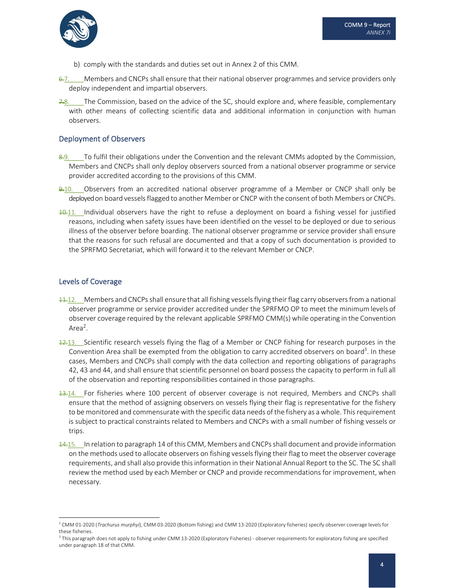- b) comply with the standards and duties set out in Annex 2 of this CMM.
- $6.7$ . Members and CNCPs shall ensure that their national observer programmes and service providers only deploy independent and impartial observers.
- $7.8$ . The Commission, based on the advice of the SC, should explore and, where feasible, complementary with other means of collecting scientific data and additional information in conjunction with human observers.

#### Deployment of Observers

- 8.9. To fulfil their obligations under the Convention and the relevant CMMs adopted by the Commission, Members and CNCPs shall only deploy observers sourced from a national observer programme or service provider accredited according to the provisions of this CMM.
- 9.10. Observers from an accredited national observer programme of a Member or CNCP shall only be deployed on board vessels flagged to another Member or CNCP with the consent of both Members or CNCPs.
- 10.11. Individual observers have the right to refuse a deployment on board a fishing vessel for justified reasons, including when safety issues have been identified on the vessel to be deployed or due to serious illness of the observer before boarding. The national observer programme or service provider shall ensure that the reasons for such refusal are documented and that a copy of such documentation is provided to the SPRFMO Secretariat, which will forward it to the relevant Member or CNCP.

## Levels of Coverage

- $\frac{11}{10}$ . Members and CNCPs shall ensure that all fishing vessels flying their flag carry observers from a national observer programme or service provider accredited under the SPRFMO OP to meet the minimum levels of observer coverage required by the relevant applicable SPRFMO CMM(s) while operating in the Convention Area<sup>2</sup>.
- 12.13. Scientific research vessels flying the flag of a Member or CNCP fishing for research purposes in the Convention Area shall be exempted from the obligation to carry accredited observers on board<sup>3</sup>. In these cases, Members and CNCPs shall comply with the data collection and reporting obligations of paragraphs 42, 43 and 44, and shall ensure that scientific personnel on board possess the capacity to perform in full all of the observation and reporting responsibilities contained in those paragraphs.
- 13.14. For fisheries where 100 percent of observer coverage is not required, Members and CNCPs shall ensure that the method of assigning observers on vessels flying their flag is representative for the fishery to be monitored and commensurate with the specific data needs of the fishery as a whole. This requirement is subject to practical constraints related to Members and CNCPs with a small number of fishing vessels or trips.
- 14.15. In relation to paragraph 14 of this CMM, Members and CNCPs shall document and provide information on the methods used to allocate observers on fishing vesselsflying their flag to meet the observer coverage requirements, and shall also provide this information in their National Annual Report to the SC. The SC shall review the method used by each Member or CNCP and provide recommendations for improvement, when necessary.

<sup>2</sup> CMM 01‐2020 (*Trachurus murphyi*), CMM 03‐2020 (Bottom fishing) and CMM 13‐2020 (Exploratory fisheries) specify observer coverage levels for these fisheries.

<sup>&</sup>lt;sup>3</sup> This paragraph does not apply to fishing under CMM 13-2020 (Exploratory Fisheries) - observer requirements for exploratory fishing are specified under paragraph 18 of that CMM.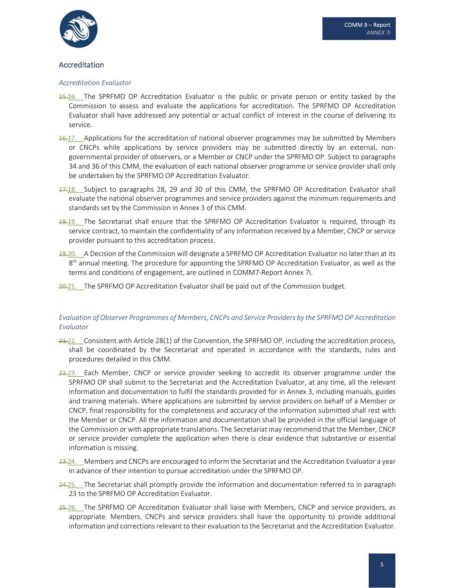

## Accreditation

#### *Accreditation Evaluator*

- **15.16.** The SPRFMO OP Accreditation Evaluator is the public or private person or entity tasked by the Commission to assess and evaluate the applications for accreditation. The SPRFMO OP Accreditation Evaluator shall have addressed any potential or actual conflict of interest in the course of delivering its service.
- 16.17. Applications for the accreditation of national observer programmes may be submitted by Members or CNCPs while applications by service providers may be submitted directly by an external, non‐ governmental provider of observers, or a Member or CNCP under the SPRFMO OP. Subject to paragraphs 34 and 36 of this CMM, the evaluation of each national observer programme or service provider shall only be undertaken by the SPRFMO OP Accreditation Evaluator.
- $17.18$ . Subject to paragraphs 28, 29 and 30 of this CMM, the SPRFMO OP Accreditation Evaluator shall evaluate the national observer programmes and service providers against the minimum requirements and standards set by the Commission in Annex 3 of this CMM.
- 18.19. The Secretariat shall ensure that the SPRFMO OP Accreditation Evaluator is required, through its service contract, to maintain the confidentiality of any information received by a Member, CNCP or service provider pursuant to this accreditation process.
- 49.20. A Decision of the Commission will designate a SPRFMO OP Accreditation Evaluator no later than at its  $8<sup>th</sup>$  annual meeting. The procedure for appointing the SPRFMO OP Accreditation Evaluator, as well as the terms and conditions of engagement, are outlined in COMM7‐Report Annex 7i.
- 20.21. The SPRFMO OP Accreditation Evaluator shall be paid out of the Commission budget.

#### *Evaluation of Observer Programmes of Members, CNCPs and Service Providers by the SPRFMO OP Accreditation Evaluator*

- $24.22$ . Consistent with Article 28(1) of the Convention, the SPRFMO OP, including the accreditation process, shall be coordinated by the Secretariat and operated in accordance with the standards, rules and procedures detailed in this CMM.
- 22.23. Each Member, CNCP or service provider seeking to accredit its observer programme under the SPRFMO OP shall submit to the Secretariat and the Accreditation Evaluator, at any time, all the relevant information and documentation to fulfil the standards provided for in Annex 3, including manuals, guides and training materials. Where applications are submitted by service providers on behalf of a Member or CNCP, final responsibility for the completeness and accuracy of the information submitted shall rest with the Member or CNCP. All the information and documentation shall be provided in the official language of the Commission or with appropriate translations. The Secretariat may recommend that the Member, CNCP or service provider complete the application when there is clear evidence that substantive or essential information is missing.
- 23.24. Members and CNCPs are encouraged to inform the Secretariat and the Accreditation Evaluator a year in advance of their intention to pursue accreditation under the SPRFMO OP.
- 24.25. The Secretariat shall promptly provide the information and documentation referred to in paragraph 23 to the SPRFMO OP Accreditation Evaluator.
- 25.26. The SPRFMO OP Accreditation Evaluator shall liaise with Members, CNCP and service providers, as appropriate. Members, CNCPs and service providers shall have the opportunity to provide additional information and corrections relevant to their evaluation to the Secretariat and the Accreditation Evaluator.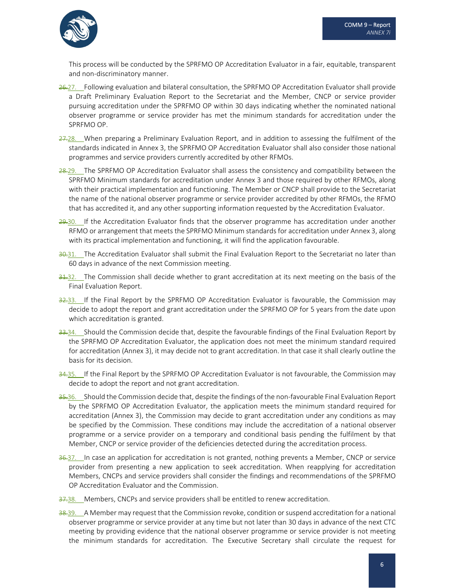

This process will be conducted by the SPRFMO OP Accreditation Evaluator in a fair, equitable, transparent and non‐discriminatory manner.

- 26.27. Following evaluation and bilateral consultation, the SPRFMO OP Accreditation Evaluator shall provide a Draft Preliminary Evaluation Report to the Secretariat and the Member, CNCP or service provider pursuing accreditation under the SPRFMO OP within 30 days indicating whether the nominated national observer programme or service provider has met the minimum standards for accreditation under the SPRFMO OP.
- 27.28. When preparing a Preliminary Evaluation Report, and in addition to assessing the fulfilment of the standards indicated in Annex 3, the SPRFMO OP Accreditation Evaluator shall also consider those national programmes and service providers currently accredited by other RFMOs.
- 28.29. The SPRFMO OP Accreditation Evaluator shall assess the consistency and compatibility between the SPRFMO Minimum standards for accreditation under Annex 3 and those required by other RFMOs, along with their practical implementation and functioning. The Member or CNCP shall provide to the Secretariat the name of the national observer programme or service provider accredited by other RFMOs, the RFMO that has accredited it, and any other supporting information requested by the Accreditation Evaluator.
- 29.30. If the Accreditation Evaluator finds that the observer programme has accreditation under another RFMO or arrangement that meets the SPRFMO Minimum standards for accreditation under Annex 3, along with its practical implementation and functioning, it will find the application favourable.
- 30.31. The Accreditation Evaluator shall submit the Final Evaluation Report to the Secretariat no later than 60 days in advance of the next Commission meeting.
- 31.32. The Commission shall decide whether to grant accreditation at its next meeting on the basis of the Final Evaluation Report.
- 32.33. If the Final Report by the SPRFMO OP Accreditation Evaluator is favourable, the Commission may decide to adopt the report and grant accreditation under the SPRFMO OP for 5 years from the date upon which accreditation is granted.
- 33.34. Should the Commission decide that, despite the favourable findings of the Final Evaluation Report by the SPRFMO OP Accreditation Evaluator, the application does not meet the minimum standard required for accreditation (Annex 3), it may decide not to grant accreditation. In that case it shall clearly outline the basis for its decision.
- 34.35. If the Final Report by the SPRFMO OP Accreditation Evaluator is not favourable, the Commission may decide to adopt the report and not grant accreditation.
- 35.36. Should the Commission decide that, despite the findings of the non-favourable Final Evaluation Report by the SPRFMO OP Accreditation Evaluator, the application meets the minimum standard required for accreditation (Annex 3), the Commission may decide to grant accreditation under any conditions as may be specified by the Commission. These conditions may include the accreditation of a national observer programme or a service provider on a temporary and conditional basis pending the fulfilment by that Member, CNCP or service provider of the deficiencies detected during the accreditation process.
- 36.37. In case an application for accreditation is not granted, nothing prevents a Member, CNCP or service provider from presenting a new application to seek accreditation. When reapplying for accreditation Members, CNCPs and service providers shall consider the findings and recommendations of the SPRFMO OP Accreditation Evaluator and the Commission.
- 37,38. Members, CNCPs and service providers shall be entitled to renew accreditation.
- 38.39. A Member may request that the Commission revoke, condition or suspend accreditation for a national observer programme or service provider at any time but not later than 30 days in advance of the next CTC meeting by providing evidence that the national observer programme or service provider is not meeting the minimum standards for accreditation. The Executive Secretary shall circulate the request for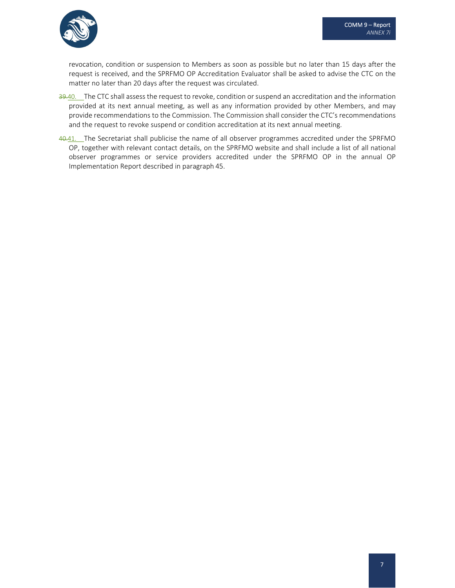

revocation, condition or suspension to Members as soon as possible but no later than 15 days after the request is received, and the SPRFMO OP Accreditation Evaluator shall be asked to advise the CTC on the matter no later than 20 days after the request was circulated.

- 39.40. The CTC shall assess the request to revoke, condition or suspend an accreditation and the information provided at its next annual meeting, as well as any information provided by other Members, and may provide recommendations to the Commission. The Commission shall consider the CTC's recommendations and the request to revoke suspend or condition accreditation at its next annual meeting.
- 40.41. The Secretariat shall publicise the name of all observer programmes accredited under the SPRFMO OP, together with relevant contact details, on the SPRFMO website and shall include a list of all national observer programmes or service providers accredited under the SPRFMO OP in the annual OP Implementation Report described in paragraph 45.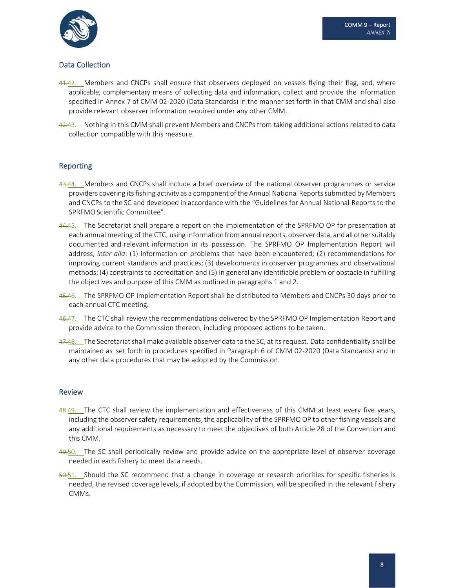

## Data Collection

- $41.42$ . Members and CNCPs shall ensure that observers deployed on vessels flying their flag, and, where applicable, complementary means of collecting data and information, collect and provide the information specified in Annex 7 of CMM 02-2020 (Data Standards) in the manner set forth in that CMM and shall also provide relevant observer information required under any other CMM.
- 42.43. Nothing in this CMM shall prevent Members and CNCPs from taking additional actions related to data collection compatible with this measure.

## Reporting

- 43.44. Members and CNCPs shall include a brief overview of the national observer programmes or service providers covering its fishing activity as a component of the Annual National Reports submitted by Members and CNCPs to the SC and developed in accordance with the "Guidelines for Annual National Reports to the SPRFMO Scientific Committee".
- 44.45. The Secretariat shall prepare a report on the implementation of the SPRFMO OP for presentation at each annual meeting of the CTC, using information from annual reports, observer data, and all other suitably documented and relevant information in its possession. The SPRFMO OP Implementation Report will address, *inter alia*: (1) information on problems that have been encountered; (2) recommendations for improving current standards and practices; (3) developments in observer programmes and observational methods; (4) constraints to accreditation and (5) in general any identifiable problem or obstacle in fulfilling the objectives and purpose of this CMM as outlined in paragraphs 1 and 2.
- 45.46. The SPRFMO OP Implementation Report shall be distributed to Members and CNCPs 30 days prior to each annual CTC meeting.
- 46.47. The CTC shall review the recommendations delivered by the SPRFMO OP Implementation Report and provide advice to the Commission thereon, including proposed actions to be taken.
- 47.48. The Secretariat shall make available observer data to the SC, at its request. Data confidentiality shall be maintained as set forth in procedures specified in Paragraph 6 of CMM 02‐2020 (Data Standards) and in any other data procedures that may be adopted by the Commission.

#### Review

- 48.49. The CTC shall review the implementation and effectiveness of this CMM at least every five years, including the observer safety requirements, the applicability of the SPRFMO OP to other fishing vessels and any additional requirements as necessary to meet the objectives of both Article 28 of the Convention and this CMM.
- 49.50. The SC shall periodically review and provide advice on the appropriate level of observer coverage needed in each fishery to meet data needs.
- 50.51. Should the SC recommend that a change in coverage or research priorities for specific fisheries is needed, the revised coverage levels, if adopted by the Commission, will be specified in the relevant fishery CMMs.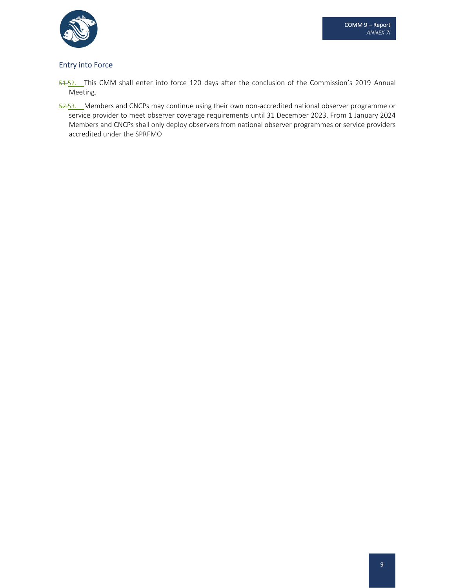

## Entry into Force

- 51-52. This CMM shall enter into force 120 days after the conclusion of the Commission's 2019 Annual Meeting.
- 52.53. Members and CNCPs may continue using their own non-accredited national observer programme or service provider to meet observer coverage requirements until 31 December 2023. From 1 January 2024 Members and CNCPs shall only deploy observers from national observer programmes or service providers accredited under the SPRFMO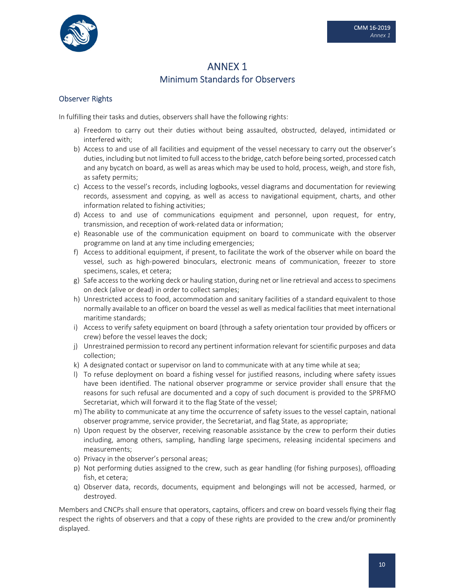

## ANNEX 1 Minimum Standards for Observers

## Observer Rights

In fulfilling their tasks and duties, observers shall have the following rights:

- a) Freedom to carry out their duties without being assaulted, obstructed, delayed, intimidated or interfered with;
- b) Access to and use of all facilities and equipment of the vessel necessary to carry out the observer's duties, including but not limited to full accessto the bridge, catch before being sorted, processed catch and any bycatch on board, as well as areas which may be used to hold, process, weigh, and store fish, as safety permits;
- c) Access to the vessel's records, including logbooks, vessel diagrams and documentation for reviewing records, assessment and copying, as well as access to navigational equipment, charts, and other information related to fishing activities;
- d) Access to and use of communications equipment and personnel, upon request, for entry, transmission, and reception of work‐related data or information;
- e) Reasonable use of the communication equipment on board to communicate with the observer programme on land at any time including emergencies;
- f) Access to additional equipment, if present, to facilitate the work of the observer while on board the vessel, such as high‐powered binoculars, electronic means of communication, freezer to store specimens, scales, et cetera;
- g) Safe access to the working deck or hauling station, during net or line retrieval and access to specimens on deck (alive or dead) in order to collect samples;
- h) Unrestricted access to food, accommodation and sanitary facilities of a standard equivalent to those normally available to an officer on board the vessel as well as medical facilities that meet international maritime standards;
- i) Access to verify safety equipment on board (through a safety orientation tour provided by officers or crew) before the vessel leaves the dock;
- j) Unrestrained permission to record any pertinent information relevant for scientific purposes and data collection;
- k) A designated contact or supervisor on land to communicate with at any time while at sea;
- l) To refuse deployment on board a fishing vessel for justified reasons, including where safety issues have been identified. The national observer programme or service provider shall ensure that the reasons for such refusal are documented and a copy of such document is provided to the SPRFMO Secretariat, which will forward it to the flag State of the vessel;
- m) The ability to communicate at any time the occurrence of safety issues to the vessel captain, national observer programme, service provider, the Secretariat, and flag State, as appropriate;
- n) Upon request by the observer, receiving reasonable assistance by the crew to perform their duties including, among others, sampling, handling large specimens, releasing incidental specimens and measurements;
- o) Privacy in the observer's personal areas;
- p) Not performing duties assigned to the crew, such as gear handling (for fishing purposes), offloading fish, et cetera;
- q) Observer data, records, documents, equipment and belongings will not be accessed, harmed, or destroyed.

Members and CNCPs shall ensure that operators, captains, officers and crew on board vessels flying their flag respect the rights of observers and that a copy of these rights are provided to the crew and/or prominently displayed.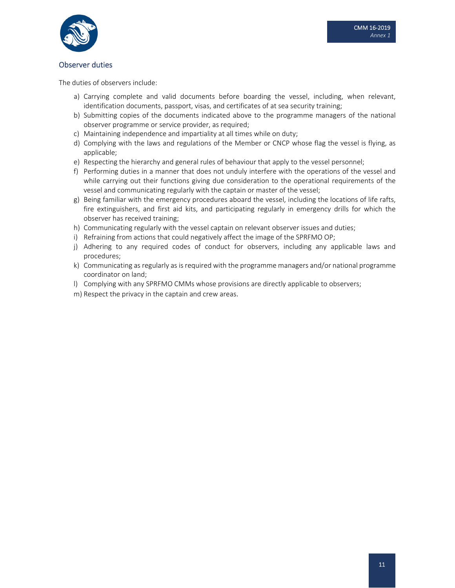

### Observer duties

The duties of observers include:

- a) Carrying complete and valid documents before boarding the vessel, including, when relevant, identification documents, passport, visas, and certificates of at sea security training;
- b) Submitting copies of the documents indicated above to the programme managers of the national observer programme or service provider, as required;
- c) Maintaining independence and impartiality at all times while on duty;
- d) Complying with the laws and regulations of the Member or CNCP whose flag the vessel is flying, as applicable;
- e) Respecting the hierarchy and general rules of behaviour that apply to the vessel personnel;
- f) Performing duties in a manner that does not unduly interfere with the operations of the vessel and while carrying out their functions giving due consideration to the operational requirements of the vessel and communicating regularly with the captain or master of the vessel;
- g) Being familiar with the emergency procedures aboard the vessel, including the locations of life rafts, fire extinguishers, and first aid kits, and participating regularly in emergency drills for which the observer has received training;
- h) Communicating regularly with the vessel captain on relevant observer issues and duties;
- i) Refraining from actions that could negatively affect the image of the SPRFMO OP;
- j) Adhering to any required codes of conduct for observers, including any applicable laws and procedures;
- k) Communicating as regularly as is required with the programme managers and/or national programme coordinator on land;
- l) Complying with any SPRFMO CMMs whose provisions are directly applicable to observers;
- m) Respect the privacy in the captain and crew areas.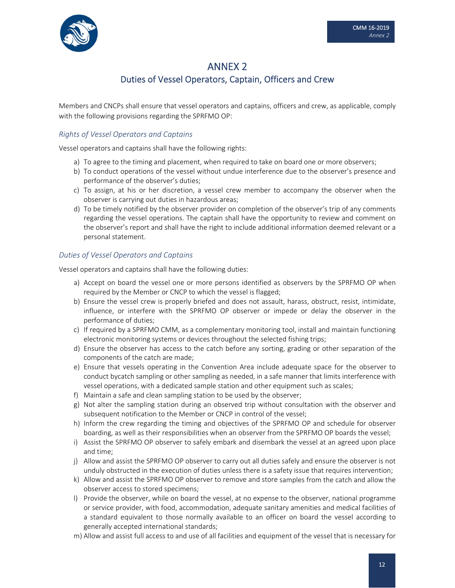

## ANNEX 2 Duties of Vessel Operators, Captain, Officers and Crew

Members and CNCPs shall ensure that vessel operators and captains, officers and crew, as applicable, comply with the following provisions regarding the SPRFMO OP:

## *Rights of Vessel Operators and Captains*

Vessel operators and captains shall have the following rights:

- a) To agree to the timing and placement, when required to take on board one or more observers;
- b) To conduct operations of the vessel without undue interference due to the observer's presence and performance of the observer's duties;
- c) To assign, at his or her discretion, a vessel crew member to accompany the observer when the observer is carrying out duties in hazardous areas;
- d) To be timely notified by the observer provider on completion of the observer's trip of any comments regarding the vessel operations. The captain shall have the opportunity to review and comment on the observer's report and shall have the right to include additional information deemed relevant or a personal statement.

## *Duties of Vessel Operators and Captains*

Vessel operators and captains shall have the following duties:

- a) Accept on board the vessel one or more persons identified as observers by the SPRFMO OP when required by the Member or CNCP to which the vessel is flagged;
- b) Ensure the vessel crew is properly briefed and does not assault, harass, obstruct, resist, intimidate, influence, or interfere with the SPRFMO OP observer or impede or delay the observer in the performance of duties;
- c) If required by a SPRFMO CMM, as a complementary monitoring tool, install and maintain functioning electronic monitoring systems or devices throughout the selected fishing trips;
- d) Ensure the observer has access to the catch before any sorting, grading or other separation of the components of the catch are made;
- e) Ensure that vessels operating in the Convention Area include adequate space for the observer to conduct bycatch sampling or other sampling as needed, in a safe manner that limits interference with vessel operations, with a dedicated sample station and other equipment such as scales;
- f) Maintain a safe and clean sampling station to be used by the observer;
- g) Not alter the sampling station during an observed trip without consultation with the observer and subsequent notification to the Member or CNCP in control of the vessel;
- h) Inform the crew regarding the timing and objectives of the SPRFMO OP and schedule for observer boarding, as well as their responsibilities when an observer from the SPRFMO OP boards the vessel;
- i) Assist the SPRFMO OP observer to safely embark and disembark the vessel at an agreed upon place and time;
- j) Allow and assist the SPRFMO OP observer to carry out all duties safely and ensure the observer is not unduly obstructed in the execution of duties unless there is a safety issue that requires intervention;
- k) Allow and assist the SPRFMO OP observer to remove and store samples from the catch and allow the observer access to stored specimens;
- l) Provide the observer, while on board the vessel, at no expense to the observer, national programme or service provider, with food, accommodation, adequate sanitary amenities and medical facilities of a standard equivalent to those normally available to an officer on board the vessel according to generally accepted international standards;
- m) Allow and assist full access to and use of all facilities and equipment of the vessel that is necessary for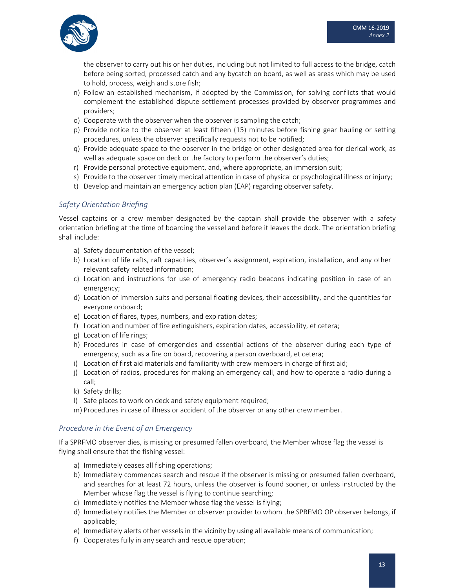the observer to carry out his or her duties, including but not limited to full access to the bridge, catch before being sorted, processed catch and any bycatch on board, as well as areas which may be used to hold, process, weigh and store fish;

- n) Follow an established mechanism, if adopted by the Commission, for solving conflicts that would complement the established dispute settlement processes provided by observer programmes and providers;
- o) Cooperate with the observer when the observer is sampling the catch;
- p) Provide notice to the observer at least fifteen (15) minutes before fishing gear hauling or setting procedures, unless the observer specifically requests not to be notified;
- q) Provide adequate space to the observer in the bridge or other designated area for clerical work, as well as adequate space on deck or the factory to perform the observer's duties;
- r) Provide personal protective equipment, and, where appropriate, an immersion suit;
- s) Provide to the observer timely medical attention in case of physical or psychological illness or injury;
- t) Develop and maintain an emergency action plan (EAP) regarding observer safety.

## *Safety Orientation Briefing*

Vessel captains or a crew member designated by the captain shall provide the observer with a safety orientation briefing at the time of boarding the vessel and before it leaves the dock. The orientation briefing shall include:

- a) Safety documentation of the vessel;
- b) Location of life rafts, raft capacities, observer's assignment, expiration, installation, and any other relevant safety related information;
- c) Location and instructions for use of emergency radio beacons indicating position in case of an emergency;
- d) Location of immersion suits and personal floating devices, their accessibility, and the quantities for everyone onboard;
- e) Location of flares, types, numbers, and expiration dates;
- f) Location and number of fire extinguishers, expiration dates, accessibility, et cetera;
- g) Location of life rings;
- h) Procedures in case of emergencies and essential actions of the observer during each type of emergency, such as a fire on board, recovering a person overboard, et cetera;
- i) Location of first aid materials and familiarity with crew members in charge of first aid;
- j) Location of radios, procedures for making an emergency call, and how to operate a radio during a call;
- k) Safety drills;
- l) Safe places to work on deck and safety equipment required;
- m) Procedures in case of illness or accident of the observer or any other crew member.

## *Procedure in the Event of an Emergency*

If a SPRFMO observer dies, is missing or presumed fallen overboard, the Member whose flag the vessel is flying shall ensure that the fishing vessel:

- a) Immediately ceases all fishing operations;
- b) Immediately commences search and rescue if the observer is missing or presumed fallen overboard, and searches for at least 72 hours, unless the observer is found sooner, or unless instructed by the Member whose flag the vessel is flying to continue searching;
- c) Immediately notifies the Member whose flag the vessel is flying;
- d) Immediately notifies the Member or observer provider to whom the SPRFMO OP observer belongs, if applicable;
- e) Immediately alerts other vessels in the vicinity by using all available means of communication;
- f) Cooperates fully in any search and rescue operation;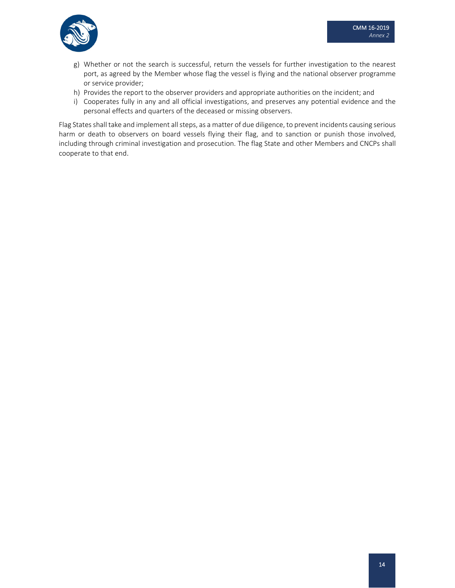

- g) Whether or not the search is successful, return the vessels for further investigation to the nearest port, as agreed by the Member whose flag the vessel is flying and the national observer programme or service provider;
- h) Provides the report to the observer providers and appropriate authorities on the incident; and
- i) Cooperates fully in any and all official investigations, and preserves any potential evidence and the personal effects and quarters of the deceased or missing observers.

Flag States shall take and implement all steps, as a matter of due diligence, to prevent incidents causing serious harm or death to observers on board vessels flying their flag, and to sanction or punish those involved, including through criminal investigation and prosecution. The flag State and other Members and CNCPs shall cooperate to that end.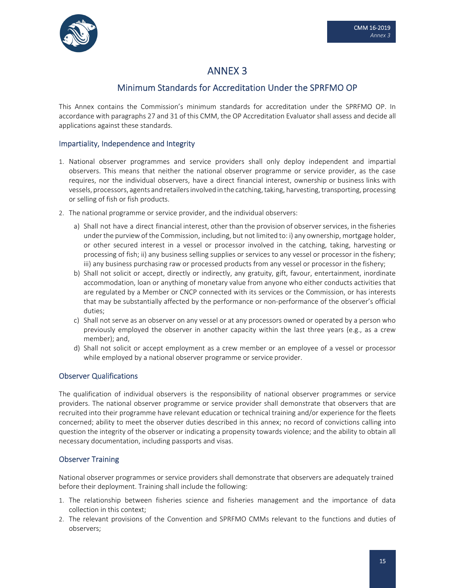

## ANNEX 3

## Minimum Standards for Accreditation Under the SPRFMO OP

This Annex contains the Commission's minimum standards for accreditation under the SPRFMO OP. In accordance with paragraphs 27 and 31 of this CMM, the OP Accreditation Evaluator shall assess and decide all applications against these standards.

## Impartiality, Independence and Integrity

- 1. National observer programmes and service providers shall only deploy independent and impartial observers. This means that neither the national observer programme or service provider, as the case requires, nor the individual observers, have a direct financial interest, ownership or business links with vessels, processors, agents and retailers involved in the catching, taking, harvesting, transporting, processing or selling of fish or fish products.
- 2. The national programme or service provider, and the individual observers:
	- a) Shall not have a direct financial interest, other than the provision of observerservices, in the fisheries under the purview of the Commission, including, but not limited to: i) any ownership, mortgage holder, or other secured interest in a vessel or processor involved in the catching, taking, harvesting or processing of fish; ii) any business selling supplies or services to any vessel or processor in the fishery; iii) any business purchasing raw or processed products from any vessel or processor in the fishery;
	- b) Shall not solicit or accept, directly or indirectly, any gratuity, gift, favour, entertainment, inordinate accommodation, loan or anything of monetary value from anyone who either conducts activities that are regulated by a Member or CNCP connected with its services or the Commission, or has interests that may be substantially affected by the performance or non‐performance of the observer's official duties;
	- c) Shall not serve as an observer on any vessel or at any processors owned or operated by a person who previously employed the observer in another capacity within the last three years (e.g., as a crew member); and,
	- d) Shall not solicit or accept employment as a crew member or an employee of a vessel or processor while employed by a national observer programme or service provider.

#### Observer Qualifications

The qualification of individual observers is the responsibility of national observer programmes or service providers. The national observer programme or service provider shall demonstrate that observers that are recruited into their programme have relevant education or technical training and/or experience for the fleets concerned; ability to meet the observer duties described in this annex; no record of convictions calling into question the integrity of the observer or indicating a propensity towards violence; and the ability to obtain all necessary documentation, including passports and visas.

## Observer Training

National observer programmes or service providers shall demonstrate that observers are adequately trained before their deployment. Training shall include the following:

- 1. The relationship between fisheries science and fisheries management and the importance of data collection in this context;
- 2. The relevant provisions of the Convention and SPRFMO CMMs relevant to the functions and duties of observers;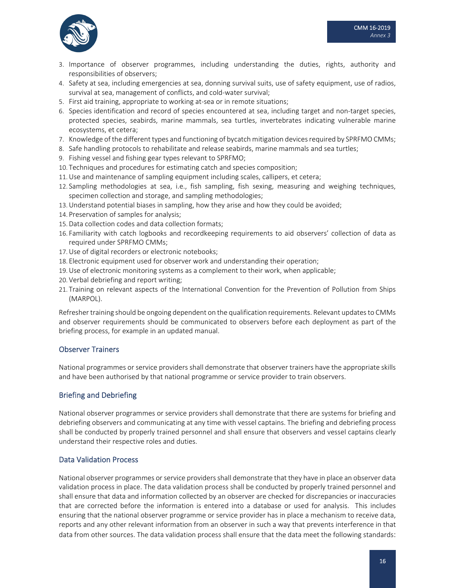

- 3. Importance of observer programmes, including understanding the duties, rights, authority and responsibilities of observers;
- 4. Safety at sea, including emergencies at sea, donning survival suits, use of safety equipment, use of radios, survival at sea, management of conflicts, and cold‐water survival;
- 5. First aid training, appropriate to working at-sea or in remote situations;
- 6. Species identification and record of species encountered at sea, including target and non-target species, protected species, seabirds, marine mammals, sea turtles, invertebrates indicating vulnerable marine ecosystems, et cetera;
- 7. Knowledge of the different types and functioning of bycatch mitigation devicesrequired by SPRFMO CMMs;
- 8. Safe handling protocols to rehabilitate and release seabirds, marine mammals and sea turtles;
- 9. Fishing vessel and fishing gear types relevant to SPRFMO;
- 10. Techniques and procedures for estimating catch and species composition;
- 11.Use and maintenance of sampling equipment including scales, callipers, et cetera;
- 12. Sampling methodologies at sea, i.e., fish sampling, fish sexing, measuring and weighing techniques, specimen collection and storage, and sampling methodologies;
- 13.Understand potential biases in sampling, how they arise and how they could be avoided;
- 14. Preservation of samples for analysis;
- 15.Data collection codes and data collection formats;
- 16. Familiarity with catch logbooks and recordkeeping requirements to aid observers' collection of data as required under SPRFMO CMMs;
- 17.Use of digital recorders or electronic notebooks;
- 18. Electronic equipment used for observer work and understanding their operation;
- 19.Use of electronic monitoring systems as a complement to their work, when applicable;
- 20. Verbal debriefing and report writing;
- 21. Training on relevant aspects of the International Convention for the Prevention of Pollution from Ships (MARPOL).

Refresher training should be ongoing dependent on the qualification requirements. Relevant updates to CMMs and observer requirements should be communicated to observers before each deployment as part of the briefing process, for example in an updated manual.

#### Observer Trainers

National programmes or service providers shall demonstrate that observer trainers have the appropriate skills and have been authorised by that national programme or service provider to train observers.

#### Briefing and Debriefing

National observer programmes or service providers shall demonstrate that there are systems for briefing and debriefing observers and communicating at any time with vessel captains. The briefing and debriefing process shall be conducted by properly trained personnel and shall ensure that observers and vessel captains clearly understand their respective roles and duties.

#### Data Validation Process

National observer programmes or service providers shall demonstrate that they have in place an observer data validation process in place. The data validation process shall be conducted by properly trained personnel and shall ensure that data and information collected by an observer are checked for discrepancies or inaccuracies that are corrected before the information is entered into a database or used for analysis. This includes ensuring that the national observer programme or service provider has in place a mechanism to receive data, reports and any other relevant information from an observer in such a way that prevents interference in that data from other sources. The data validation process shall ensure that the data meet the following standards: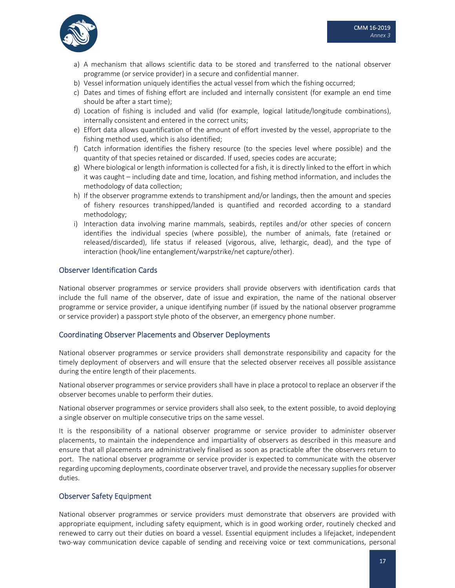- a) A mechanism that allows scientific data to be stored and transferred to the national observer programme (or service provider) in a secure and confidential manner.
- b) Vessel information uniquely identifies the actual vessel from which the fishing occurred;
- c) Dates and times of fishing effort are included and internally consistent (for example an end time should be after a start time);
- d) Location of fishing is included and valid (for example, logical latitude/longitude combinations), internally consistent and entered in the correct units;
- e) Effort data allows quantification of the amount of effort invested by the vessel, appropriate to the fishing method used, which is also identified;
- f) Catch information identifies the fishery resource (to the species level where possible) and the quantity of that species retained or discarded. If used, species codes are accurate;
- g) Where biological or length information is collected for a fish, it is directly linked to the effort in which it was caught – including date and time, location, and fishing method information, and includes the methodology of data collection;
- h) If the observer programme extends to transhipment and/or landings, then the amount and species of fishery resources transhipped/landed is quantified and recorded according to a standard methodology;
- i) Interaction data involving marine mammals, seabirds, reptiles and/or other species of concern identifies the individual species (where possible), the number of animals, fate (retained or released/discarded), life status if released (vigorous, alive, lethargic, dead), and the type of interaction (hook/line entanglement/warpstrike/net capture/other).

## Observer Identification Cards

National observer programmes or service providers shall provide observers with identification cards that include the full name of the observer, date of issue and expiration, the name of the national observer programme or service provider, a unique identifying number (if issued by the national observer programme or service provider) a passport style photo of the observer, an emergency phone number.

#### Coordinating Observer Placements and Observer Deployments

National observer programmes or service providers shall demonstrate responsibility and capacity for the timely deployment of observers and will ensure that the selected observer receives all possible assistance during the entire length of their placements.

National observer programmes or service providers shall have in place a protocol to replace an observer if the observer becomes unable to perform their duties.

National observer programmes or service providers shall also seek, to the extent possible, to avoid deploying a single observer on multiple consecutive trips on the same vessel.

It is the responsibility of a national observer programme or service provider to administer observer placements, to maintain the independence and impartiality of observers as described in this measure and ensure that all placements are administratively finalised as soon as practicable after the observers return to port. The national observer programme or service provider is expected to communicate with the observer regarding upcoming deployments, coordinate observer travel, and provide the necessary suppliesfor observer duties.

#### Observer Safety Equipment

National observer programmes or service providers must demonstrate that observers are provided with appropriate equipment, including safety equipment, which is in good working order, routinely checked and renewed to carry out their duties on board a vessel. Essential equipment includes a lifejacket, independent two‐way communication device capable of sending and receiving voice or text communications, personal